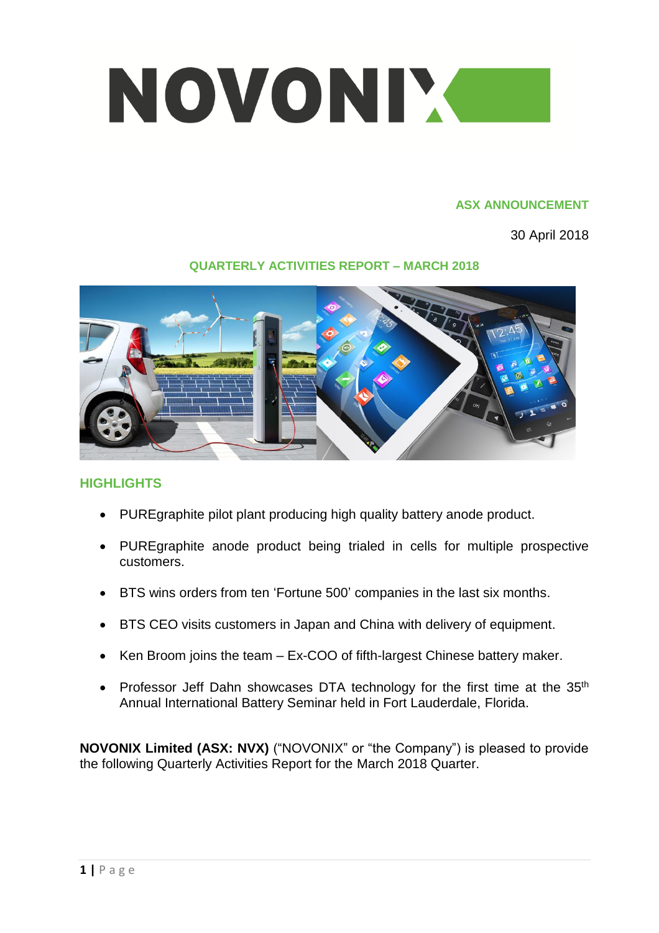

#### **ASX ANNOUNCEMENT**

30 April 2018

## **QUARTERLY ACTIVITIES REPORT – MARCH 2018**



# **HIGHLIGHTS**

- PUREgraphite pilot plant producing high quality battery anode product.
- PUREgraphite anode product being trialed in cells for multiple prospective customers.
- BTS wins orders from ten 'Fortune 500' companies in the last six months.
- BTS CEO visits customers in Japan and China with delivery of equipment.
- Ken Broom joins the team Ex-COO of fifth-largest Chinese battery maker.
- Professor Jeff Dahn showcases DTA technology for the first time at the  $35<sup>th</sup>$ Annual International Battery Seminar held in Fort Lauderdale, Florida.

**NOVONIX Limited (ASX: NVX)** ("NOVONIX" or "the Company") is pleased to provide the following Quarterly Activities Report for the March 2018 Quarter.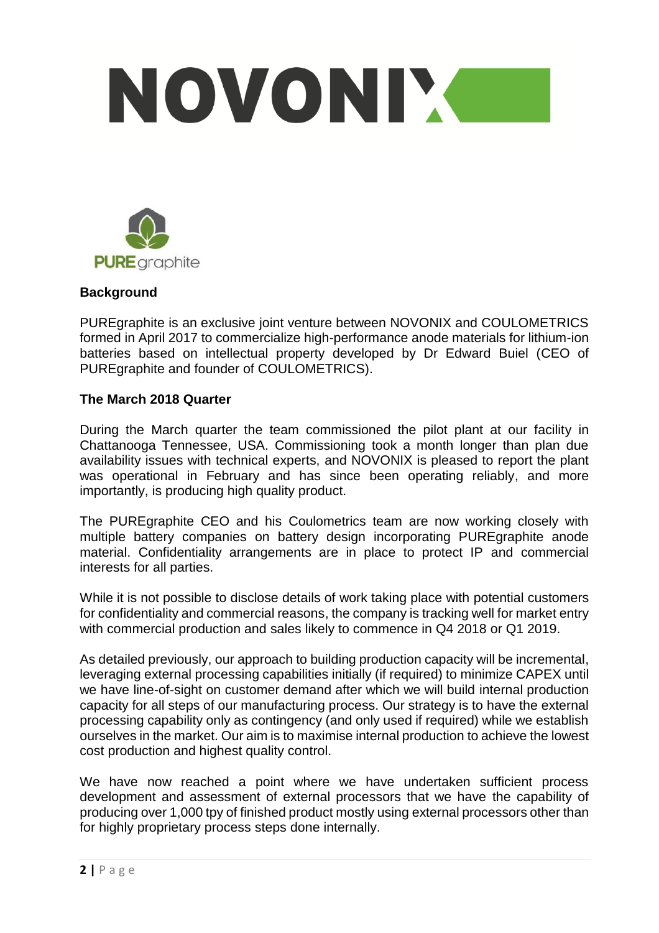



## **Background**

PUREgraphite is an exclusive joint venture between NOVONIX and COULOMETRICS formed in April 2017 to commercialize high-performance anode materials for lithium-ion batteries based on intellectual property developed by Dr Edward Buiel (CEO of PUREgraphite and founder of COULOMETRICS).

### **The March 2018 Quarter**

During the March quarter the team commissioned the pilot plant at our facility in Chattanooga Tennessee, USA. Commissioning took a month longer than plan due availability issues with technical experts, and NOVONIX is pleased to report the plant was operational in February and has since been operating reliably, and more importantly, is producing high quality product.

The PUREgraphite CEO and his Coulometrics team are now working closely with multiple battery companies on battery design incorporating PUREgraphite anode material. Confidentiality arrangements are in place to protect IP and commercial interests for all parties.

While it is not possible to disclose details of work taking place with potential customers for confidentiality and commercial reasons, the company is tracking well for market entry with commercial production and sales likely to commence in Q4 2018 or Q1 2019.

As detailed previously, our approach to building production capacity will be incremental, leveraging external processing capabilities initially (if required) to minimize CAPEX until we have line-of-sight on customer demand after which we will build internal production capacity for all steps of our manufacturing process. Our strategy is to have the external processing capability only as contingency (and only used if required) while we establish ourselves in the market. Our aim is to maximise internal production to achieve the lowest cost production and highest quality control.

We have now reached a point where we have undertaken sufficient process development and assessment of external processors that we have the capability of producing over 1,000 tpy of finished product mostly using external processors other than for highly proprietary process steps done internally.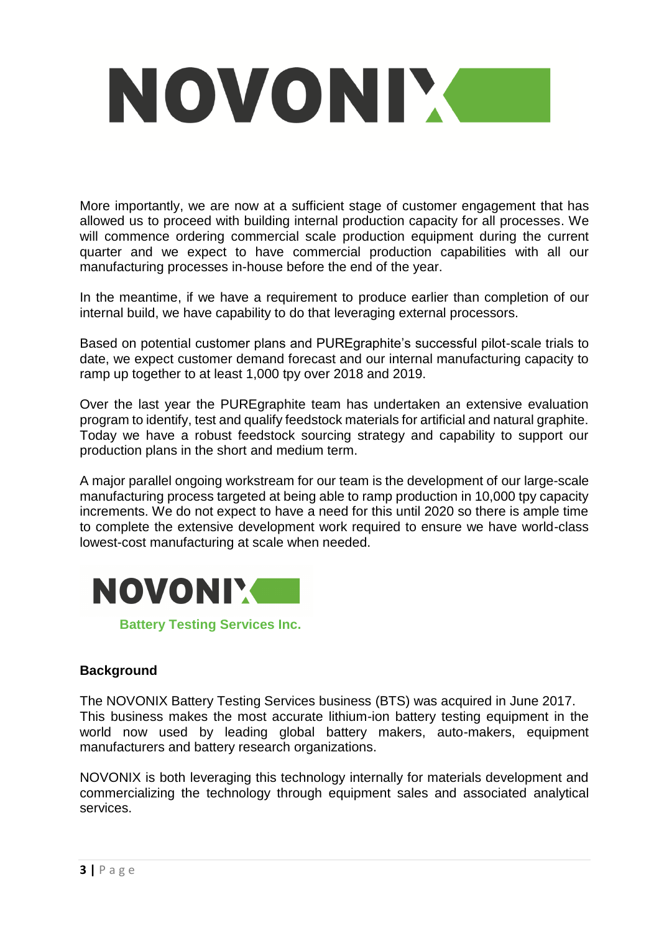

More importantly, we are now at a sufficient stage of customer engagement that has allowed us to proceed with building internal production capacity for all processes. We will commence ordering commercial scale production equipment during the current quarter and we expect to have commercial production capabilities with all our manufacturing processes in-house before the end of the year.

In the meantime, if we have a requirement to produce earlier than completion of our internal build, we have capability to do that leveraging external processors.

Based on potential customer plans and PUREgraphite's successful pilot-scale trials to date, we expect customer demand forecast and our internal manufacturing capacity to ramp up together to at least 1,000 tpy over 2018 and 2019.

Over the last year the PUREgraphite team has undertaken an extensive evaluation program to identify, test and qualify feedstock materials for artificial and natural graphite. Today we have a robust feedstock sourcing strategy and capability to support our production plans in the short and medium term.

A major parallel ongoing workstream for our team is the development of our large-scale manufacturing process targeted at being able to ramp production in 10,000 tpy capacity increments. We do not expect to have a need for this until 2020 so there is ample time to complete the extensive development work required to ensure we have world-class lowest-cost manufacturing at scale when needed.



**Battery Testing Services Inc.**

### **Background**

The NOVONIX Battery Testing Services business (BTS) was acquired in June 2017. This business makes the most accurate lithium-ion battery testing equipment in the world now used by leading global battery makers, auto-makers, equipment manufacturers and battery research organizations.

NOVONIX is both leveraging this technology internally for materials development and commercializing the technology through equipment sales and associated analytical services.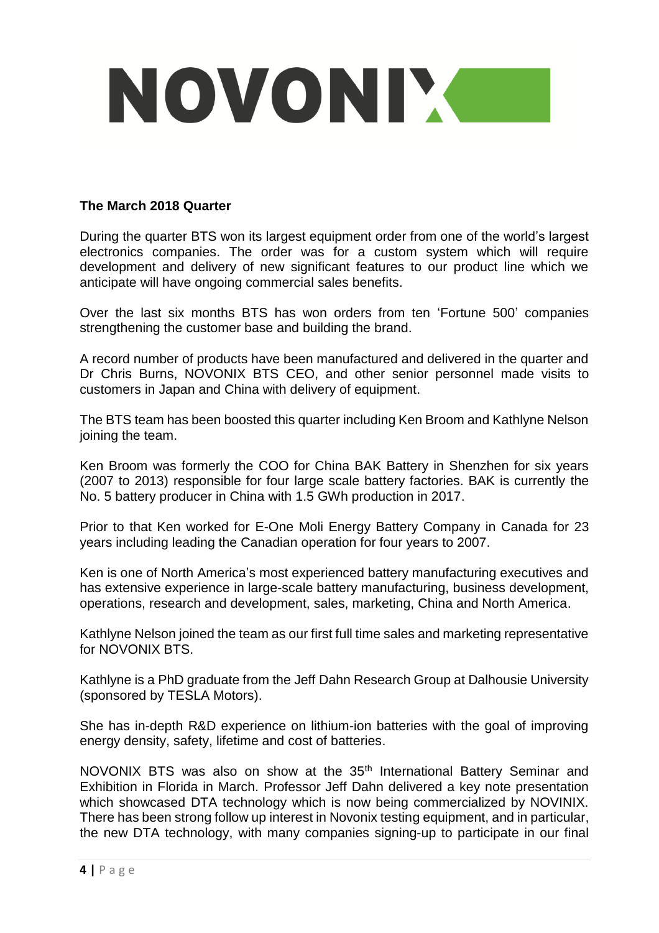

### **The March 2018 Quarter**

During the quarter BTS won its largest equipment order from one of the world's largest electronics companies. The order was for a custom system which will require development and delivery of new significant features to our product line which we anticipate will have ongoing commercial sales benefits.

Over the last six months BTS has won orders from ten 'Fortune 500' companies strengthening the customer base and building the brand.

A record number of products have been manufactured and delivered in the quarter and Dr Chris Burns, NOVONIX BTS CEO, and other senior personnel made visits to customers in Japan and China with delivery of equipment.

The BTS team has been boosted this quarter including Ken Broom and Kathlyne Nelson joining the team.

Ken Broom was formerly the COO for China BAK Battery in Shenzhen for six years (2007 to 2013) responsible for four large scale battery factories. BAK is currently the No. 5 battery producer in China with 1.5 GWh production in 2017.

Prior to that Ken worked for E-One Moli Energy Battery Company in Canada for 23 years including leading the Canadian operation for four years to 2007.

Ken is one of North America's most experienced battery manufacturing executives and has extensive experience in large-scale battery manufacturing, business development, operations, research and development, sales, marketing, China and North America.

Kathlyne Nelson joined the team as our first full time sales and marketing representative for NOVONIX BTS.

Kathlyne is a PhD graduate from the Jeff Dahn Research Group at Dalhousie University (sponsored by TESLA Motors).

She has in-depth R&D experience on lithium-ion batteries with the goal of improving energy density, safety, lifetime and cost of batteries.

NOVONIX BTS was also on show at the 35<sup>th</sup> International Battery Seminar and Exhibition in Florida in March. Professor Jeff Dahn delivered a key note presentation which showcased DTA technology which is now being commercialized by NOVINIX. There has been strong follow up interest in Novonix testing equipment, and in particular, the new DTA technology, with many companies signing-up to participate in our final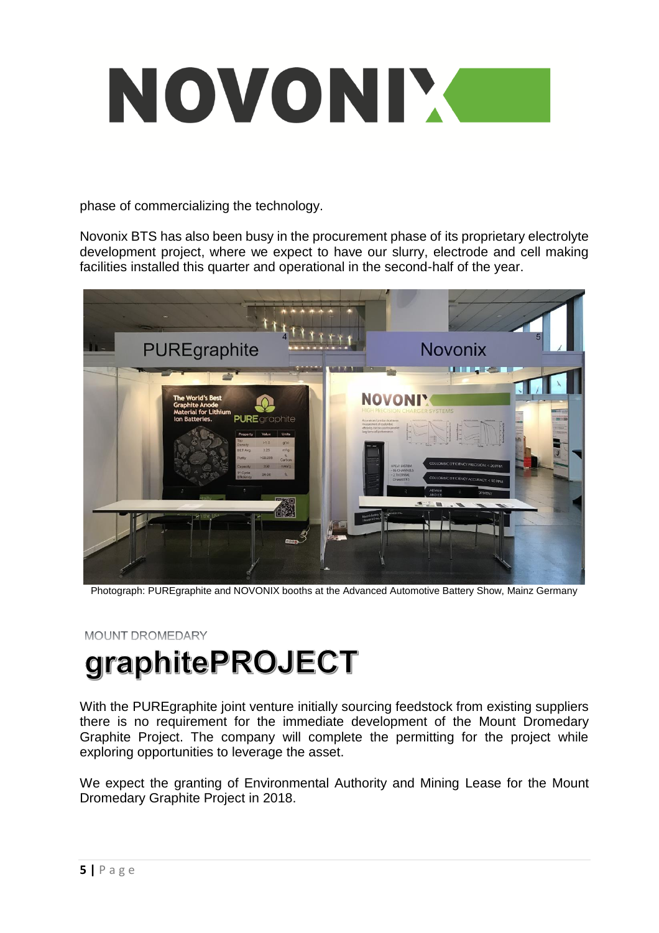

phase of commercializing the technology.

Novonix BTS has also been busy in the procurement phase of its proprietary electrolyte development project, where we expect to have our slurry, electrode and cell making facilities installed this quarter and operational in the second-half of the year.



Photograph: PUREgraphite and NOVONIX booths at the Advanced Automotive Battery Show, Mainz Germany

MOUNT DROMEDARY

# graphitePROJECT

With the PUREgraphite joint venture initially sourcing feedstock from existing suppliers there is no requirement for the immediate development of the Mount Dromedary Graphite Project. The company will complete the permitting for the project while exploring opportunities to leverage the asset.

We expect the granting of Environmental Authority and Mining Lease for the Mount Dromedary Graphite Project in 2018.